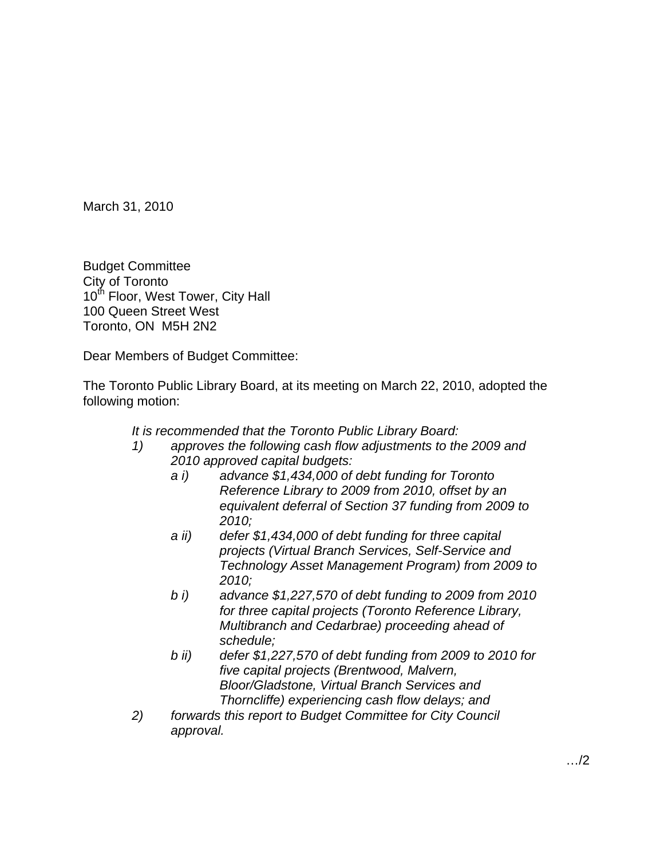March 31, 2010

Budget Committee City of Toronto 10<sup>th</sup> Floor, West Tower, City Hall 100 Queen Street West Toronto, ON M5H 2N2

Dear Members of Budget Committee:

The Toronto Public Library Board, at its meeting on March 22, 2010, adopted the following motion:

It is recommended that the Toronto Public Library Board:

- 1) approves the following cash flow adjustments to the 2009 and 2010 approved capital budgets:
	- a i) advance \$1,434,000 of debt funding for Toronto Reference Library to 2009 from 2010, offset by an equivalent deferral of Section 37 funding from 2009 to 2010;
	- a ii) defer \$1,434,000 of debt funding for three capital projects (Virtual Branch Services, Self-Service and Technology Asset Management Program) from 2009 to 2010;
	- b i) advance \$1,227,570 of debt funding to 2009 from 2010 for three capital projects (Toronto Reference Library, Multibranch and Cedarbrae) proceeding ahead of schedule; when the state of the state of the state of the state of the state of the state of the state of the state of the state of the state of the state of the state of the state of the state of the state of the state of
	- b ii) defer \$1,227,570 of debt funding from 2009 to 2010 for five capital projects (Brentwood, Malvern, Bloor/Gladstone, Virtual Branch Services and Thorncliffe) experiencing cash flow delays; and
- 2) forwards this report to Budget Committee for City Council approval.